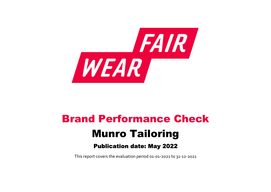

# Brand Performance Check Munro Tailoring Publication date: May 2022

This report covers the evaluation period 01‐01‐2021 to 31‐12‐2021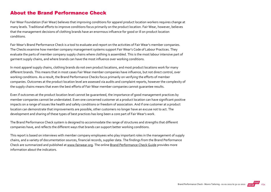#### About the Brand Performance Check

Fair Wear Foundation (Fair Wear) believes that improving conditions for apparel product location workers requires change at many levels. Traditional efforts to improve conditions focus primarily on the product location. Fair Wear, however, believes that the management decisions of clothing brands have an enormous influence for good or ill on product location conditions.

Fair Wear's Brand Performance Check is a tool to evaluate and report on the activities of Fair Wear's member companies. The Checks examine how member company management systems support Fair Wear's Code of Labour Practices. They evaluate the parts of member company supply chains where clothing is assembled. This is the most labour intensive part of garment supply chains, and where brands can have the most influence over working conditions.

In most apparel supply chains, clothing brands do not own product locations, and most product locations work for many different brands. This means that in most cases Fair Wear member companies have influence, but not direct control, over working conditions. As a result, the Brand Performance Checks focus primarily on verifying the efforts of member companies. Outcomes at the product location level are assessed via audits and complaint reports, however the complexity of the supply chains means that even the best efforts of Fair Wear member companies cannot guarantee results.

Even if outcomes at the product location level cannot be guaranteed, the importance of good management practices by member companies cannot be understated. Even one concerned customer at a product location can have significant positive impacts on a range of issues like health and safety conditions or freedom of association. And if one customer at a product location can demonstrate that improvements are possible, other customers no longer have an excuse not to act. The development and sharing of these types of best practices has long been a core part of Fair Wear's work.

The Brand Performance Check system is designed to accommodate the range of structures and strengths that different companies have, and reflects the different ways that brands can support better working conditions.

This report is based on interviews with member company employees who play important roles in the management of supply chains, and a variety of documentation sources, financial records, supplier data. The findings from the Brand Performance Check are summarized and published at [www.fairwear.org](http://www.fairwear.org/). The online [Brand Performance Check Guide](https://members.fairwear.org/resources/brand-performance-check-guide/12) provides more information about the indicators.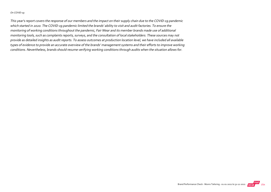#### On COVID‐19

This year's report covers the response of our members and the impact on their supply chain due to the COVID‐19 pandemic which started in 2020. The COVID‐19 pandemic limited the brands' ability to visit and audit factories. To ensure the monitoring of working conditions throughout the pandemic, Fair Wear and its member brands made use of additional monitoring tools, such as complaints reports, surveys, and the consultation of local stakeholders. These sources may not provide as detailed insights as audit reports. To assess outcomes at production location level, we have included all available types of evidence to provide an accurate overview of the brands' management systems and their efforts to improve working conditions. Nevertheless, brands should resume verifying working conditions through audits when the situation allows for.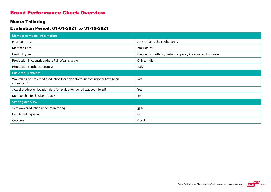#### Brand Performance Check Overview

#### Munro Tailoring

#### Evaluation Period: 01-01-2021 to 31-12-2021

| <b>Member company information</b>                                                         |                                                            |
|-------------------------------------------------------------------------------------------|------------------------------------------------------------|
| Headquarters:                                                                             | Amsterdam, the Netherlands                                 |
| Member since:                                                                             | 2021-01-01                                                 |
| Product types:                                                                            | Garments, Clothing, Fashion apparel, Accessories, Footwear |
| Production in countries where Fair Wear is active:                                        | China, India                                               |
| Production in other countries:                                                            | Italy                                                      |
| <b>Basic requirements</b>                                                                 |                                                            |
| Workplan and projected production location data for upcoming year have been<br>submitted? | Yes                                                        |
| Actual production location data for evaluation period was submitted?                      | Yes                                                        |
| Membership fee has been paid?                                                             | Yes                                                        |
| <b>Scoring overview</b>                                                                   |                                                            |
| % of own production under monitoring                                                      | 55%                                                        |
| Benchmarking score                                                                        | 63                                                         |
| Category                                                                                  | Good                                                       |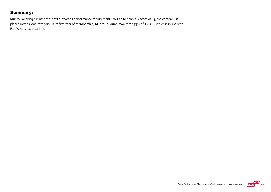#### Summary:

Munro Tailoring has met most of Fair Wear's performance requirements. With a benchmark score of 63, the company is placed in the Good category. In its first year of membership, Munro Tailoring monitored 55% of its FOB, which is in line with Fair Wear's expectations.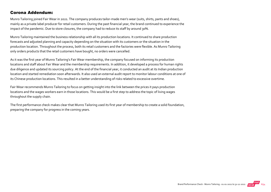#### Corona Addendum:

Munro Tailoring joined Fair Wear in 2021. The company produces tailor-made men's wear (suits, shirts, pants and shoes), mainly as a private label producer for retail customers. During the past financial year, the brand continued to experience the impact of the pandemic. Due to store closures, the company had to reduce its staff by around 30%.

Munro Tailoring maintained the business relationship with all its production locations. It continued to share production forecasts and adjusted planning and capacity depending on the situation with its customers or the situation in the production location. Throughout the process, both its retail customers and the factories were flexible. As Munro Tailoring only orders products that the retail customers have bought, no orders were cancelled.

As it was the first year of Munro Tailoring's Fair Wear membership, the company focused on informing its production locations and staff about Fair Wear and the membership requirements. In addition, it developed a process for human rights due diligence and updated its sourcing policy. At the end of the financial year, it conducted an audit at its Indian production location and started remediation soon afterwards. It also used an external audit report to monitor labour conditions at one of its Chinese production locations. This resulted in a better understanding of risks related to excessive overtime.

Fair Wear recommends Munro Tailoring to focus on getting insight into the link between the prices it pays production locations and the wages workers earn in those locations. This would be a first step to address the topic of living wages throughout the supply chain.

The first performance check makes clear that Munro Tailoring used its first year of membership to create a solid foundation, preparing the company for progress in the coming years.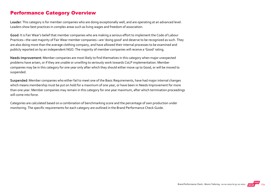#### Performance Category Overview

Leader: This category is for member companies who are doing exceptionally well, and are operating at an advanced level. Leaders show best practices in complex areas such as living wages and freedom of association.

Good: It is Fair Wear's belief that member companies who are making a serious effort to implement the Code of Labour Practices—the vast majority of Fair Wear member companies—are 'doing good' and deserve to be recognized as such. They are also doing more than the average clothing company, and have allowed their internal processes to be examined and publicly reported on by an independent NGO. The majority of member companies will receive a 'Good' rating.

Needs Improvement: Member companies are most likely to find themselves in this category when major unexpected problems have arisen, or if they are unable or unwilling to seriously work towards CoLP implementation. Member companies may be in this category for one year only after which they should either move up to Good, or will be moved to suspended.

Suspended: Member companies who either fail to meet one of the Basic Requirements, have had major internal changes which means membership must be put on hold for a maximum of one year, or have been in Needs Improvement for more than one year. Member companies may remain in this category for one year maximum, after which termination proceedings will come into force.

Categories are calculated based on a combination of benchmarking score and the percentage of own production under monitoring. The specific requirements for each category are outlined in the Brand Performance Check Guide.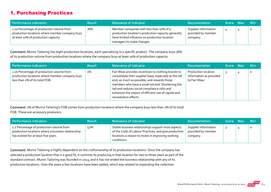## 1. Purchasing Practices

| Performance indicators                                                                                                              | <b>Result</b> | <b>Relevance of Indicator</b>                                                                                                                                                 | <b>Documentation</b>                                   | Score Max | <b>Min</b> |
|-------------------------------------------------------------------------------------------------------------------------------------|---------------|-------------------------------------------------------------------------------------------------------------------------------------------------------------------------------|--------------------------------------------------------|-----------|------------|
| 1.1a Percentage of production volume from<br>production locations where member company buys<br>at least 10% of production capacity. | 76%           | Member companies with less than 10% of a<br>production location's production capacity generally<br>have limited influence on production location<br>managers to make changes. | Supplier information<br>provided by member<br>company. |           | $\circ$    |

Comment: Munro Tailoring has eight production locations, each specialising in a specific product. The company buys 76% of its production volume from production locations where the company buys at least 10% of production capacity.

| Performance indicators                                                                                                        | <b>Result</b> | <b>Relevance of Indicator</b>                                                                                                                                                                                                                                                                                                                     | <b>Documentation</b>                                                   | Score Max | <b>Min</b> |
|-------------------------------------------------------------------------------------------------------------------------------|---------------|---------------------------------------------------------------------------------------------------------------------------------------------------------------------------------------------------------------------------------------------------------------------------------------------------------------------------------------------------|------------------------------------------------------------------------|-----------|------------|
| 1.1b Percentage of production volume from<br>production locations where member company buys<br>less than 2% of its total FOB. | 1%            | Fair Wear provides incentives to clothing brands to<br>consolidate their supplier base, especially at the tail<br>end, as much as possible, and rewards those<br>members who have a small tail end. Shortening the<br>tail end reduces social compliance risks and<br>enhances the impact of efficient use of capital and<br>remediation efforts. | <b>Production location</b><br>information as provided<br>to Fair Wear. |           | O          |

Comment: 1% of Munro Tailoring's FOB comes from production locations where the company buys less than 2% of its total FOB. These are accessory producers.

| Performance indicators                                                                                                                 | <b>Result</b> | <b>Relevance of Indicator</b>                                                                                                                                                  | <b>Documentation</b>                                   | Score Max | <b>Min</b> |
|----------------------------------------------------------------------------------------------------------------------------------------|---------------|--------------------------------------------------------------------------------------------------------------------------------------------------------------------------------|--------------------------------------------------------|-----------|------------|
| 1.2 Percentage of production volume from<br>production locations where a business relationship<br>has existed for at least five years. | 52%           | Stable business relationships support most aspects<br>of the Code of Labour Practices, and give production<br>locations a reason to invest in improving working<br>conditions. | Supplier information<br>provided by member<br>company. |           |            |

Comment: Munro Tailoring is highly dependent on the craftsmanship of its production locations. Once the company has selected a production location that is a good fit, it commits to producing in that location for two to three years as part of the standard contract. Munro Tailoring was founded in 2013, and it has not ended the business relationship with any of its production locations. Over the years a few locations have been added, which was related to expanding the collection.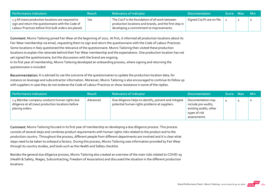| Performance indicators                                                                                                                                            | <b>Result</b> | Relevance of Indicator <b>\</b>                                                                                                                      | <b>Documentation</b>      | <b>Score</b> | Max Min  |   |
|-------------------------------------------------------------------------------------------------------------------------------------------------------------------|---------------|------------------------------------------------------------------------------------------------------------------------------------------------------|---------------------------|--------------|----------|---|
| 1.3 All (new) production locations are required to<br>sign and return the questionnaire with the Code of<br>Labour Practices before first bulk orders are placed. | Yes           | The CoLP is the foundation of all work between<br>production locations and brands, and the first step in<br>developing a commitment to improvements. | Signed CoLPs are on file. |              | <u>_</u> | 0 |

Comment: Munro Tailoring joined Fair Wear at the beginning of 2021. At first, it informed all production locations about its Fair Wear membership via email, requesting them to sign and return the questionnaire with the Code of Labour Practices. Some locations in Italy questioned the relevance of the questionnaire. Munro Tailoring then visited these production locations to explain the rationale behind their Fair Wear membership and the expectations. One production location has not yet signed the questionnaire, but the discussions with the brand are ongoing. In its first year of membership, Munro Tailoring developed an onboarding process, where signing and returning the questionnaire is included.

Recommendation: It is advised to use the outcome of the questionnaires to update the production location data, for instance on leverage and subcontractor information. Moreover, Munro Tailoring is also encouraged to continue its follow up with suppliers in case they do not endorse the Code of Labour Practices or show resistance in some of the replies.

| Performance indicators                                                                                                | <b>Result</b> | <b>Relevance of Indicator</b>                                                                          | <b>Documentation</b>                                                                                | Score Max | <b>Min</b> |
|-----------------------------------------------------------------------------------------------------------------------|---------------|--------------------------------------------------------------------------------------------------------|-----------------------------------------------------------------------------------------------------|-----------|------------|
| 1.4 Member company conducts human rights due<br>diligence at all (new) production locations before<br>placing orders. | Advanced      | Due diligence helps to identify, prevent and mitigate<br>potential human rights problems at suppliers. | Documentation may<br>include pre-audits,<br>existing audits, other<br>types of risk<br>assessments. |           | $\circ$    |

Comment: Munro Tailoring focused in its first year of membership on developing a due diligence process. This process consists of several steps and combines product requirements with human rights risks related to the product and to the production country. Throughout the process, different people from different departments are involved and it is clear what steps need to be taken to onboard a factory. During this process, Munro Tailoring uses information provided by Fair Wear through its country studies, and tools such as the Health and Safety checklist.

Besides the general due diligence process, Munro Tailoring also created an overview of the main risks related to COVID‐19 (Health & Safety, Wages, Subcontracting, Freedom of Association) and discussed the situation in the different production locations.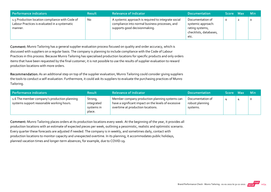| Performance indicators                                                                                      | <b>Result</b> | <b>Relevance of Indicator</b>                                                                                                          | <b>Documentation</b>                                                                        | <b>Score</b> | Max | <b>Min</b> |
|-------------------------------------------------------------------------------------------------------------|---------------|----------------------------------------------------------------------------------------------------------------------------------------|---------------------------------------------------------------------------------------------|--------------|-----|------------|
| 1.5 Production location compliance with Code of<br>Labour Practices is evaluated in a systematic<br>manner. | No            | A systemic approach is required to integrate social<br>compliance into normal business processes, and<br>supports good decisionmaking. | Documentation of<br>systemic approach:<br>rating systems,<br>checklists, databases,<br>etc. |              |     | 0          |

Comment: Munro Tailoring has a general supplier evaluation process focused on quality and order accuracy, which is discussed with suppliers on a regular basis. The company is planning to include compliance with the Code of Labour Practices in this process. Because Munro Tailoring has specialised production locations for specific products and only orders items that have been requested by the final customer, it is not possible to use the results of supplier evaluation to reward production locations with more orders.

Recommendation: As an additional step on top of the supplier evaluation, Munro Tailoring could consider giving suppliers the tools to conduct a self‐evaluation. Furthermore, it could ask its suppliers to evaluate the purchasing practices of Munro Tailoring.

| Performance indicators                                                                    | <b>Result</b>                                 | <b>Relevance of Indicator</b>                                                                                                               | <b>Documentation</b>                            | Score Max | <b>Min</b> |
|-------------------------------------------------------------------------------------------|-----------------------------------------------|---------------------------------------------------------------------------------------------------------------------------------------------|-------------------------------------------------|-----------|------------|
| 1.6 The member company's production planning<br>systems support reasonable working hours. | Strong,<br>integrated<br>systems in<br>place. | Member company production planning systems can<br>have a significant impact on the levels of excessive<br>overtime at production locations. | Documentation of<br>robust planning<br>systems. |           | $\circ$    |

Comment: Munro Tailoring places orders at its production locations every week. At the beginning of the year, it provides all production locations with an estimate of expected pieces per week, outlining a pessimistic, realistic and optimistic scenario. Every quarter these forecasts are adjusted if needed. The company is in weekly, and sometimes daily, contact with production locations to monitor capacity and unexpected overtime. In its planning, it accommodates public holidays, planned vacation times and longer‐term absences, for example, due to COVID‐19.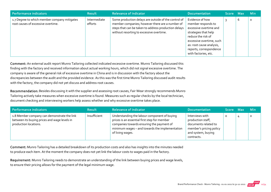| <b>Performance indicators</b>                                                      | <b>Result</b>           | <b>Relevance of Indicator</b>                                                                                                                                                                               | <b>Documentation</b>                                                                                                                                                                                                     | <b>Score</b> | Max | <b>Min</b> |
|------------------------------------------------------------------------------------|-------------------------|-------------------------------------------------------------------------------------------------------------------------------------------------------------------------------------------------------------|--------------------------------------------------------------------------------------------------------------------------------------------------------------------------------------------------------------------------|--------------|-----|------------|
| 1.7 Degree to which member company mitigates<br>root causes of excessive overtime. | Intermediate<br>efforts | Some production delays are outside of the control of<br>member companies; however there are a number of<br>steps that can be taken to address production delays<br>without resorting to excessive overtime. | Evidence of how<br>member responds to<br>excessive overtime and<br>strategies that help<br>reduce the risk of<br>excessive overtime, such<br>as: root cause analysis,<br>reports, correspondence<br>with factories, etc. |              | 6   | $\circ$    |

Comment: An external audit report Munro Tailoring collected indicated excessive overtime. Munro Tailoring discussed this finding with the factory and received information about actual working hours, which did not signal excessive overtime. The company is aware of the general risk of excessive overtime in China and is in discussion with the factory about the discrepancies between the audit and the provided evidence. As this was the first time Munro Tailoring discussed audit results with the factory, the company did not yet discuss and address root causes.

Recommendation: Besides discussing it with the supplier and assessing root causes, Fair Wear strongly recommends Munro Tailoring actively take measures when excessive overtime is found. Measures such as regular checks by the local technician, document checking and interviewing workers help assess whether and why excessive overtime takes place.

| Performance indicators                                                                                               | Result       | <b>Relevance of Indicator</b>                                                                                                                                                                                   | <b>Documentation</b>                                                                                                        | Score Max | <b>Min</b> |
|----------------------------------------------------------------------------------------------------------------------|--------------|-----------------------------------------------------------------------------------------------------------------------------------------------------------------------------------------------------------------|-----------------------------------------------------------------------------------------------------------------------------|-----------|------------|
| 1.8 Member company can demonstrate the link<br>between its buying prices and wage levels in<br>production locations. | Insufficient | Understanding the labour component of buying<br>prices is an essential first step for member<br>companies towards ensuring the payment of<br>minimum wages - and towards the implementation<br>of living wages. | Interviews with<br>production staff,<br>documents related to<br>member's pricing policy<br>and system, buying<br>contracts. | O         |            |

Comment: Munro Tailoring has a detailed breakdown of its production costs and also has insights into the minutes needed to produce each item. At the moment the company does not yet link the labour costs to wages paid in the factory.

Requirement: Munro Tailoring needs to demonstrate an understanding of the link between buying prices and wage levels, to ensure their pricing allows for the payment of the legal minimum wage.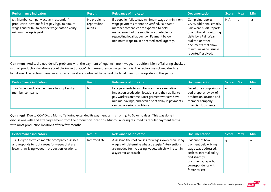| Performance indicators                                                                                                                                                 | <b>Result</b>                        | <b>Relevance of Indicator</b>                                                                                                                                                                                                                                                       | <b>Documentation</b>                                                                                                                                                                                                      | Score Max |         | <b>Min</b> |
|------------------------------------------------------------------------------------------------------------------------------------------------------------------------|--------------------------------------|-------------------------------------------------------------------------------------------------------------------------------------------------------------------------------------------------------------------------------------------------------------------------------------|---------------------------------------------------------------------------------------------------------------------------------------------------------------------------------------------------------------------------|-----------|---------|------------|
| 1.9 Member company actively responds if<br>production locations fail to pay legal minimum<br>wages and/or fail to provide wage data to verify<br>minimum wage is paid. | No problems<br>reported/no<br>audits | If a supplier fails to pay minimum wage or minimum<br>wage payments cannot be verified, Fair Wear<br>member companies are expected to hold<br>management of the supplier accountable for<br>respecting local labour law. Payment below<br>minimum wage must be remediated urgently. | Complaint reports,<br>CAPs, additional emails,<br>Fair Wear Audit Reports<br>or additional monitoring<br>visits by a Fair Wear<br>auditor, or other<br>documents that show<br>minimum wage issue is<br>reported/resolved. | N/A       | $\circ$ | $-2$       |

Comment: Audits did not identify problems with the payment of legal minimum wage. In addition, Munro Tailoring checked with all production locations about the impact of COVID-19 measures on wages. In India, the factory was closed due to a lockdown. The factory manager ensured all workers continued to be paid the legal minimum wage during this period.

| Performance indicators                                            | <b>Result</b> | <b>Relevance of Indicator</b>                                                                                                                                                                                                                 | <b>Documentation</b>                                                                                                    | Score Max |         | <b>Min</b> |
|-------------------------------------------------------------------|---------------|-----------------------------------------------------------------------------------------------------------------------------------------------------------------------------------------------------------------------------------------------|-------------------------------------------------------------------------------------------------------------------------|-----------|---------|------------|
| 1.10 Evidence of late payments to suppliers by<br>member company. | No            | Late payments to suppliers can have a negative<br>impact on production locations and their ability to<br>pay workers on time. Most garment workers have<br>minimal savings, and even a brief delay in payments<br>can cause serious problems. | Based on a complaint or<br>audit report; review of<br>production location and<br>member company<br>financial documents. |           | $\circ$ | $-1$       |

Comment: Due to COVID‐19, Munro Tailoring extended its payment terms from 30 to 60 or 90 days. This was done in discussions with and after agreement from the production locations. Munro Tailoring resumed its regular payment terms with most production locations after a few months.

| <b>Performance indicators</b>                                                                                                                      | <b>Result</b> | <b>Relevance of Indicator</b>                                                                                                                                                               | <b>Documentation</b>                                                                                                                                                       | Score Max |   | <b>Min</b> |
|----------------------------------------------------------------------------------------------------------------------------------------------------|---------------|---------------------------------------------------------------------------------------------------------------------------------------------------------------------------------------------|----------------------------------------------------------------------------------------------------------------------------------------------------------------------------|-----------|---|------------|
| 1.11 Degree to which member company assesses<br>and responds to root causes for wages that are<br>lower than living wages in production locations. | Intermediate  | Assessing the root causes for wages lower than living<br>wages will determine what strategies/interventions<br>are needed for increasing wages, which will result in<br>a systemic approach | Evidence of how<br>payment below living<br>wage was addressed,<br>such as: Internal policy<br>and strategy<br>documents, reports,<br>correspondence with<br>factories, etc |           | b | $\Omega$   |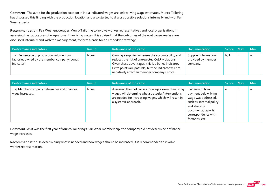Comment: The audit for the production location in India indicated wages are below living wage estimates. Munro Tailoring has discussed this finding with the production location and also started to discuss possible solutions internally and with Fair Wear experts.

Recommendation: Fair Wear encourages Munro Tailoring to involve worker representatives and local organisations in assessing the root causes of wages lower than living wages. It is advised that the outcomes of the root cause analysis are discussed internally and with top management, to form a basis for an embedded strategy.

| Performance indicators                                                                                   | <b>Result</b> | <b>Relevance of Indicator</b>                                                                                                                                                                                                                                        | <b>Documentation</b>                                   | Score Max | <b>Min</b> |
|----------------------------------------------------------------------------------------------------------|---------------|----------------------------------------------------------------------------------------------------------------------------------------------------------------------------------------------------------------------------------------------------------------------|--------------------------------------------------------|-----------|------------|
| 1.12 Percentage of production volume from<br>factories owned by the member company (bonus<br>indicator). | None          | Owning a supplier increases the accountability and<br>reduces the risk of unexpected CoLP violations.<br>Given these advantages, this is a bonus indicator.<br>Extra points are possible, but the indicator will not<br>negatively affect an member company's score. | Supplier information<br>provided by member<br>company. | N/A       | $\circ$    |

| Performance indicators                                         | <b>Result</b> | <b>Relevance of Indicator</b>                                                                                                                                                                | Documentation                                                                                                                                                               | Score Max |   | Min     |
|----------------------------------------------------------------|---------------|----------------------------------------------------------------------------------------------------------------------------------------------------------------------------------------------|-----------------------------------------------------------------------------------------------------------------------------------------------------------------------------|-----------|---|---------|
| 1.13 Member company determines and finances<br>wage increases. | None          | Assessing the root causes for wages lower than living<br>wages will determine what strategies/interventions<br>are needed for increasing wages, which will result in<br>a systemic approach. | Evidence of how<br>payment below living<br>wage was addressed,<br>such as: internal policy<br>and strategy<br>documents, reports,<br>correspondence with<br>factories, etc. | O         | ь | $\circ$ |

Comment: As it was the first year of Munro Tailoring's Fair Wear membership, the company did not determine or finance wage increases.

Recommendation: In determining what is needed and how wages should be increased, it is recommended to involve worker representation.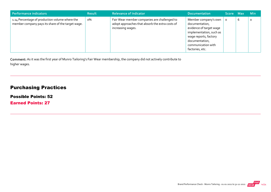| Performance indicators                                                                              | <b>Result</b> | <b>Relevance of Indicator</b>                                                                                        | <b>Documentation</b>                                                                                                                                                             | Score Max |   | <b>Min</b> |
|-----------------------------------------------------------------------------------------------------|---------------|----------------------------------------------------------------------------------------------------------------------|----------------------------------------------------------------------------------------------------------------------------------------------------------------------------------|-----------|---|------------|
| 1.14 Percentage of production volume where the<br>member company pays its share of the target wage. | о%            | Fair Wear member companies are challenged to<br>adopt approaches that absorb the extra costs of<br>increasing wages. | Member company's own<br>documentation,<br>evidence of target wage<br>implementation, such as<br>wage reports, factory<br>documentation,<br>communication with<br>factories, etc. |           | b | O          |

Comment: As it was the first year of Munro Tailoring's Fair Wear membership, the company did not actively contribute to higher wages.

## Purchasing Practices

Possible Points: 52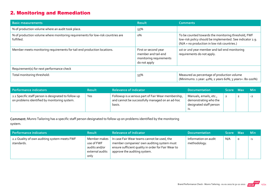## 2. Monitoring and Remediation

| <b>Basic measurements</b>                                                                     | <b>Result</b>                                                                          | <b>Comments</b>                                                                                                                                                  |
|-----------------------------------------------------------------------------------------------|----------------------------------------------------------------------------------------|------------------------------------------------------------------------------------------------------------------------------------------------------------------|
| % of production volume where an audit took place.                                             | 55%                                                                                    |                                                                                                                                                                  |
| % of production volume where monitoring requirements for low-risk countries are<br>fulfilled. | о%                                                                                     | To be counted towards the monitoring threshold, FWF<br>low-risk policy should be implemented. See indicator 2.9.<br>(N/A = no production in low risk countries.) |
| Member meets monitoring requirements for tail-end production locations.                       | First or second year<br>member and tail-end<br>monitoring requirements<br>do not apply | 1st or 2nd year member and tail-end monitoring<br>requirements do not apply.                                                                                     |
| Requirement(s) for next performance check                                                     |                                                                                        |                                                                                                                                                                  |
| Total monitoring threshold:                                                                   | 55%                                                                                    | Measured as percentage of production volume<br>(Minimums: 1 year: 40%; 2 years 60%; 3 years+: 80-100%)                                                           |

| Performance indicators                                                                               | <b>Result</b> | <b>Relevance of Indicator</b>                                                                                    | <b>Documentation</b>                                                              | Score Max | <b>Min</b> |
|------------------------------------------------------------------------------------------------------|---------------|------------------------------------------------------------------------------------------------------------------|-----------------------------------------------------------------------------------|-----------|------------|
| 2.1 Specific staff person is designated to follow up<br>on problems identified by monitoring system. | Yes           | Followup is a serious part of Fair Wear membership,<br>and cannot be successfully managed on an ad-hoc<br>basis. | Manuals, emails, etc.,<br>demonstrating who the<br>designated staff person<br>.כו |           | $-2$       |

Comment: Munro Tailoring has a specific staff person designated to follow up on problems identified by the monitoring system.

| Performance indicators                                     | <b>Result</b>                                                          | <b>Relevance of Indicator</b>                                                                                                                                                    | <b>Documentation</b>                 | Score Max |         | <b>Min</b> |
|------------------------------------------------------------|------------------------------------------------------------------------|----------------------------------------------------------------------------------------------------------------------------------------------------------------------------------|--------------------------------------|-----------|---------|------------|
| 2.2 Quality of own auditing system meets FWF<br>standards. | Member makes<br>use of FWF<br>audits and/or<br>external audits<br>only | In case Fair Wear teams cannot be used, the<br>member companies' own auditing system must<br>ensure sufficient quality in order for Fair Wear to<br>approve the auditing system. | Information on audit<br>methodology. | N/A       | $\circ$ | $-1$       |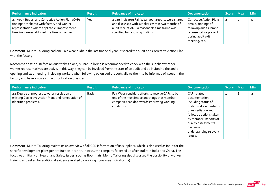| Performance indicators                                                                                                                                                                            | <b>Result</b> | <b>Relevance of Indicator</b>                                                                                                                                                                    | <b>Documentation</b>                                                                                                                      | Score Max | <b>Min</b> |
|---------------------------------------------------------------------------------------------------------------------------------------------------------------------------------------------------|---------------|--------------------------------------------------------------------------------------------------------------------------------------------------------------------------------------------------|-------------------------------------------------------------------------------------------------------------------------------------------|-----------|------------|
| 2.3 Audit Report and Corrective Action Plan (CAP)<br>findings are shared with factory and worker<br>representation where applicable. Improvement<br>timelines are established in a timely manner. | Yes           | 2 part indicator: Fair Wear audit reports were shared<br>and discussed with suppliers within two months of<br>audit receipt AND a reasonable time frame was<br>specified for resolving findings. | Corrective Action Plans,<br>emails; findings of<br>followup audits; brand<br>representative present<br>during audit exit<br>meeting, etc. |           | $-1$       |

Comment: Munro Tailoring had one Fair Wear audit in the last financial year. It shared the audit and Corrective Action Plan with the factory.

Recommendation: Before an audit takes place, Munro Tailoring is recommended to check with the supplier whether worker representatives are active. In this way, they can be involved from the start of an audit and be invited to the audit opening and exit meeting. Including workers when following up on audit reports allows them to be informed of issues in the factory and have a voice in the prioritisation of issues.

| Performance indicators                                                                                                      | <b>Result</b> | <b>Relevance of Indicator</b>                                                                                                                                  | <b>Documentation</b>                                                                                                                                                                                                                 | Score Max |   | <b>Min</b> |
|-----------------------------------------------------------------------------------------------------------------------------|---------------|----------------------------------------------------------------------------------------------------------------------------------------------------------------|--------------------------------------------------------------------------------------------------------------------------------------------------------------------------------------------------------------------------------------|-----------|---|------------|
| 2.4 Degree of progress towards resolution of<br>existing Corrective Action Plans and remediation of<br>identified problems. | <b>Basic</b>  | Fair Wear considers efforts to resolve CAPs to be<br>one of the most important things that member<br>companies can do towards improving working<br>conditions. | CAP-related<br>documentation<br>including status of<br>findings, documentation<br>of remediation and<br>follow up actions taken<br>by member. Reports of<br>quality assessments.<br>Evidence of<br>understanding relevant<br>issues. | 4         | 8 | $-2$       |

Comment: Munro Tailoring maintains an overview of all CSR information of its suppliers, which is also used as input for the specific development plans per production location. in 2021, the company followed up after audits in India and China. The focus was initially on Health and Safety issues, such as floor mats. Munro Tailoring also discussed the possibility of worker training and asked for additional evidence related to working hours (see indicator 1.7).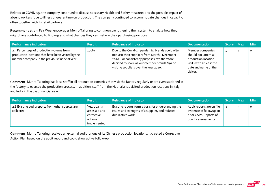Related to COVID‐19, the company continued to discuss necessary Health and Safety measures and the possible impact of absent workers (due to illness or quarantine) on production. The company continued to accommodate changes in capacity, often together with its retail partners.

Recommendation: Fair Wear encourages Munro Tailoring to continue strengthening their system to analyse how they might have contributed to findings and what changes they can make in their purchasing practices.

| Performance indicators                                                                                                                           | <b>Result</b> | <b>Relevance of Indicator</b>                                                                                                                                                                                                                  | <b>Documentation</b>                                                                                                           | Score Max | <b>Min</b> |
|--------------------------------------------------------------------------------------------------------------------------------------------------|---------------|------------------------------------------------------------------------------------------------------------------------------------------------------------------------------------------------------------------------------------------------|--------------------------------------------------------------------------------------------------------------------------------|-----------|------------|
| 2.5 Percentage of production volume from<br>production locations that have been visited by the<br>member company in the previous financial year. | 100%          | Due to the Covid-19 pandemic, brands could often<br>not visit their suppliers from March - December<br>2020. For consistency purposes, we therefore<br>decided to score all our member brands N/A on<br>visiting suppliers over the year 2020. | Member companies<br>should document all<br>production location<br>visits with at least the<br>date and name of the<br>visitor. |           | $\circ$    |

Comment: Munro Tailoring has local staff in all production countries that visit the factory regularly or are even stationed at the factory to oversee the production process. In addition, staff from the Netherlands visited production locations in Italy and India in the past financial year.

| Performance indicators                                          | <b>Result</b>                                                        | <b>Relevance of Indicator</b>                                                                                               | <b>Documentation</b>                                                                                    | <b>Score</b> | Max | <b>Min</b> |
|-----------------------------------------------------------------|----------------------------------------------------------------------|-----------------------------------------------------------------------------------------------------------------------------|---------------------------------------------------------------------------------------------------------|--------------|-----|------------|
| 2.6 Existing audit reports from other sources are<br>collected. | Yes, quality<br>assessed and<br>corrective<br>actions<br>implemented | Existing reports form a basis for understanding the<br>issues and strengths of a supplier, and reduces<br>duplicative work. | Audit reports are on file;<br>evidence of followup on<br>prior CAPs. Reports of<br>quality assessments. |              |     | $\circ$    |

Comment: Munro Tailoring received an external audit for one of its Chinese production locations. It created a Corrective Action Plan based on the audit report and could show active follow‐up.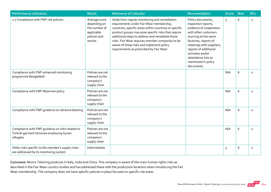| <b>Performance indicators</b>                                                                              | <b>Result</b>                                                                           | <b>Relevance of Indicator</b>                                                                                                                                                                                                                                                                                                                                                                              | <b>Documentation</b>                                                                                                                                                                                                                                                               | <b>Score</b>   | <b>Max</b> | Min  |
|------------------------------------------------------------------------------------------------------------|-----------------------------------------------------------------------------------------|------------------------------------------------------------------------------------------------------------------------------------------------------------------------------------------------------------------------------------------------------------------------------------------------------------------------------------------------------------------------------------------------------------|------------------------------------------------------------------------------------------------------------------------------------------------------------------------------------------------------------------------------------------------------------------------------------|----------------|------------|------|
| 2.7 Compliance with FWF risk policies.                                                                     | Average score<br>depending on<br>the number of<br>applicable<br>policies and<br>results | Aside from regular monitoring and remediation<br>requirements under Fair Wear membership,<br>countries, specific areas within countries or specific<br>product groups may pose specific risks that require<br>additional steps to address and remediate those<br>risks. Fair Wear requires member companies to be<br>aware of those risks and implement policy<br>requirements as prescribed by Fair Wear. | Policy documents,<br>inspection reports,<br>evidence of cooperation<br>with other customers<br>sourcing at the same<br>factories, reports of<br>meetings with suppliers,<br>reports of additional<br>activities and/or<br>attendance lists as<br>mentioned in policy<br>documents. | $\overline{3}$ | 6          | $-2$ |
| Compliance with FWF enhanced monitoring<br>programme Bangladesh                                            | Policies are not<br>relevant to the<br>company's<br>supply chain                        |                                                                                                                                                                                                                                                                                                                                                                                                            |                                                                                                                                                                                                                                                                                    | N/A            | 6          | $-2$ |
| Compliance with FWF Myanmar policy                                                                         | Policies are not<br>relevant to the<br>company's<br>supply chain                        |                                                                                                                                                                                                                                                                                                                                                                                                            |                                                                                                                                                                                                                                                                                    | N/A            | 6          | $-2$ |
| Compliance with FWF guidance on abrasive blasting                                                          | Policies are not<br>relevant to the<br>company's<br>supply chain                        |                                                                                                                                                                                                                                                                                                                                                                                                            |                                                                                                                                                                                                                                                                                    | N/A            | $\,$ 6     | $-2$ |
| Compliance with FWF quidance on risks related to<br>Turkish garment factories employing Syrian<br>refugees | Policies are not<br>relevant to the<br>company's<br>supply chain                        |                                                                                                                                                                                                                                                                                                                                                                                                            |                                                                                                                                                                                                                                                                                    | N/A            | 6          | $-2$ |
| Other risks specific to the member's supply chain<br>are addressed by its monitoring system                | Intermediate                                                                            |                                                                                                                                                                                                                                                                                                                                                                                                            |                                                                                                                                                                                                                                                                                    | 3              | 6          | $-2$ |

Comment: Munro Tailoring produces in Italy, India and China. The company is aware of the main human rights risks as described in the Fair Wear country studies and has addressed these with the production locations when introducing the Fair Wear membership. The company does not have specific policies in place focused on specific risk areas.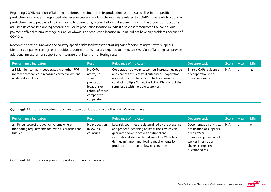Regarding COVID‐19, Munro Tailoring monitored the situation in its production countries as well as in the specific production locations and responded whenever necessary. For Italy the main risks related to COVID‐19 were obstructions in production due to people falling ill or having to quarantine, Munro Tailoring discussed this with the production location and adjusted its capacity planning accordingly. For its production location in India it also closely monitored the continuous payment of legal minimum wage during lockdown. The production location in China did not have any problems because of COVID-19.

Recommendation: Knowing the country-specific risks facilitates the starting point for discussing this with suppliers. Member companies can agree on additional commitments that are required to mitigate risks. Munro Tailoring can provide additional measures for support and integrate that into the monitoring system.

| Performance indicators                                                                                                   | <b>Result</b>                                                                                                | <b>Relevance of Indicator</b>                                                                                                                                                                                                                       | <b>Documentation</b>                                             | Score Max | <b>Min</b> |
|--------------------------------------------------------------------------------------------------------------------------|--------------------------------------------------------------------------------------------------------------|-----------------------------------------------------------------------------------------------------------------------------------------------------------------------------------------------------------------------------------------------------|------------------------------------------------------------------|-----------|------------|
| 2.8 Member company cooperates with other FWF<br>member companies in resolving corrective actions<br>at shared suppliers. | No CAPs<br>active, no<br>shared<br>production<br>locations or<br>refusal of other<br>company to<br>cooperate | Cooperation between customers increases leverage<br>and chances of successful outcomes. Cooperation<br>also reduces the chances of a factory having to<br>conduct multiple Corrective Action Plans about the<br>same issue with multiple customers. | Shared CAPs, evidence<br>of cooperation with<br>other customers. | N/A       | $-1$       |

Comment: Munro Tailoring does not share production locations with other Fair Wear members.

| Performance indicators                                                                                        | <b>Result</b>                             | <b>Relevance of Indicator</b>                                                                                                                                                                                                                                                                    | <b>Documentation</b>                                                                                                                                          | Score Max | <b>Min</b> |
|---------------------------------------------------------------------------------------------------------------|-------------------------------------------|--------------------------------------------------------------------------------------------------------------------------------------------------------------------------------------------------------------------------------------------------------------------------------------------------|---------------------------------------------------------------------------------------------------------------------------------------------------------------|-----------|------------|
| 2.9 Percentage of production volume where<br>monitoring requirements for low-risk countries are<br>fulfilled. | No production<br>in low-risk<br>countries | Low-risk countries are determined by the presence<br>and proper functioning of institutions which can<br>quarantee compliance with national and<br>international standards and laws. Fair Wear has<br>defined minimum monitoring requirements for<br>production locations in low-risk countries. | Documentation of visits,<br>notification of suppliers<br>of Fair Wear<br>membership; posting of<br>worker information<br>sheets, completed<br>questionnaires. | N/A       | $\circ$    |

Comment: Munro Tailoring does not produce in low‐risk countries.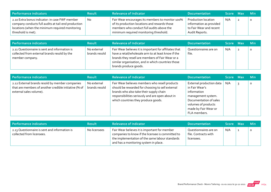| Performance indicators                                                                                                                                                         | <b>Result</b> | <b>Relevance of Indicator</b>                                                                                                                                                            | <b>Documentation</b>                                                                        | <b>Score</b> | / Max | ⊟ Min   |
|--------------------------------------------------------------------------------------------------------------------------------------------------------------------------------|---------------|------------------------------------------------------------------------------------------------------------------------------------------------------------------------------------------|---------------------------------------------------------------------------------------------|--------------|-------|---------|
| 2.10 Extra bonus indicator: in case FWF member<br>company conducts full audits at tail-end production<br>locations (when the minimum required monitoring<br>threshold is met). | No            | Fair Wear encourages its members to monitor 100%<br>of its production locations and rewards those<br>members who conduct full audits above the<br>minimum required monitoring threshold. | Production location<br>information as provided<br>to Fair Wear and recent<br>Audit Reports. | N/A          |       | $\circ$ |

| Performance indicators                                                                                           | <b>Result</b>                | <b>Relevance of Indicator</b>                                                                                                                                                                                                                    | <b>Documentation</b>           | Score Max | Min !   |
|------------------------------------------------------------------------------------------------------------------|------------------------------|--------------------------------------------------------------------------------------------------------------------------------------------------------------------------------------------------------------------------------------------------|--------------------------------|-----------|---------|
| 2.11 Questionnaire is sent and information is<br>collected from external brands resold by the<br>member company. | No external<br>brands resold | Fair Wear believes it is important for affiliates that<br>have a retail/wholesale arm to at least know if the<br>brands they resell are members of Fair Wear or a<br>similar organisation, and in which countries those<br>brands produce goods. | Questionnaires are on<br>file. | N/A       | $\circ$ |

| <b>Performance indicators</b>                                                                                                       | <b>Result</b>                | <b>Relevance of Indicator</b>                                                                                                                                                                                                            | <b>Documentation</b>                                                                                                                                                     | Score Max | <b>Min</b> |
|-------------------------------------------------------------------------------------------------------------------------------------|------------------------------|------------------------------------------------------------------------------------------------------------------------------------------------------------------------------------------------------------------------------------------|--------------------------------------------------------------------------------------------------------------------------------------------------------------------------|-----------|------------|
| 2.12 External brands resold by member companies<br>that are members of another credible initiative (% of<br>external sales volume). | No external<br>brands resold | Fair Wear believes members who resell products<br>should be rewarded for choosing to sell external<br>brands who also take their supply chain<br>responsibilities seriously and are open about in<br>which countries they produce goods. | External production data<br>in Fair Wear's<br>information<br>management system.<br>Documentation of sales<br>volumes of products<br>made by Fair Wear or<br>FLA members. | N/A       | $\Omega$   |

| Performance indicators                                                     | <b>Result</b> | <b>Relevance of Indicator</b>                                                                                                                                                                  | <b>Documentation</b>                                        | Score Max | <b>Min</b> |
|----------------------------------------------------------------------------|---------------|------------------------------------------------------------------------------------------------------------------------------------------------------------------------------------------------|-------------------------------------------------------------|-----------|------------|
| 2.13 Questionnaire is sent and information is<br>collected from licensees. | No licensees  | Fair Wear believes it is important for member<br>companies to know if the licensee is committed to<br>the implementation of the same labour standards<br>and has a monitoring system in place. | Questionnaires are on<br>file. Contracts with<br>licensees. | N/A       |            |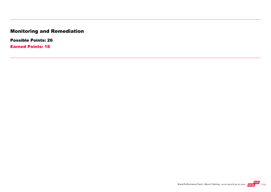## Monitoring and Remediation

Possible Points: 26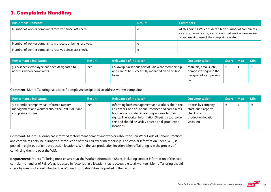## 3. Complaints Handling

| <b>Basic measurements</b>                                 | <b>Result</b> | <b>Comments</b>                                                                                                                                                        |
|-----------------------------------------------------------|---------------|------------------------------------------------------------------------------------------------------------------------------------------------------------------------|
| Number of worker complaints received since last check.    |               | At this point, FWF considers a high number of complaints<br>as a positive indicator, as it shows that workers are aware<br>of and making use of the complaints system. |
| Number of worker complaints in process of being resolved. |               |                                                                                                                                                                        |
| Number of worker complaints resolved since last check.    |               |                                                                                                                                                                        |

| Performance indicators                                                       | <b>Result</b> | <b>Relevance of Indicator</b>                                                                                    | <b>Documentation</b>                                                       | Score Max | <b>Min</b> |
|------------------------------------------------------------------------------|---------------|------------------------------------------------------------------------------------------------------------------|----------------------------------------------------------------------------|-----------|------------|
| 3.1 A specific employee has been designated to<br>address worker complaints. | Yes           | Followup is a serious part of Fair Wear membership,<br>and cannot be successfully managed on an ad-hoc<br>basis. | Manuals, emails, etc.,<br>demonstrating who the<br>designated staff person |           | $-1$       |

Comment: Munro Tailoring has a specific employee designated to address worker complaints.

| Performance indicators                                                                                          | <b>Result</b> | <b>Relevance of Indicator</b>                                                                                                                                                                                                                                                             | <b>Documentation</b>                                                                                 | <b>Score</b> | - Max | <b>Min</b> |
|-----------------------------------------------------------------------------------------------------------------|---------------|-------------------------------------------------------------------------------------------------------------------------------------------------------------------------------------------------------------------------------------------------------------------------------------------|------------------------------------------------------------------------------------------------------|--------------|-------|------------|
| 3.2 Member company has informed factory<br>management and workers about the FWF CoLP and<br>complaints hotline. | Yes           | Informing both management and workers about the<br>Fair Wear Code of Labour Practices and complaints<br>hotline is a first step in alerting workers to their<br>rights. The Worker Information Sheet is a tool to do<br>this and should be visibly posted at all production<br>locations. | Photos by company<br>staff, audit reports,<br>checklists from<br>production location<br>visits, etc. | $\mathbf{z}$ |       | $-2$       |

Comment: Munro Tailoring has informed factory management and workers about the Fair Wear Code of Labour Practices and complaints helpline during the introduction of their Fair Wear membership. The Worker Information Sheet (WIS) is posted in eight out of nine production locations. With the last production location, Munro Tailoring is in the process of convincing them to post the WIS.

Requirement: Munro Tailoring must ensure that the Worker Information Sheet, including contact information of the local complaints handler of Fair Wear, is posted in factories, in a location that is accessible to all workers. Munro Tailoring should check by means of a visit whether the Worker Information Sheet is posted in the factories.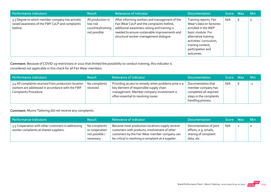| Performance indicators                                                                                         | <b>Result</b>                                                       | <b>Relevance of Indicator</b>                                                                                                                                                                                                          | <b>Documentation</b>                                                                                                                                                                                     | Score Max |   | <b>Min</b> |
|----------------------------------------------------------------------------------------------------------------|---------------------------------------------------------------------|----------------------------------------------------------------------------------------------------------------------------------------------------------------------------------------------------------------------------------------|----------------------------------------------------------------------------------------------------------------------------------------------------------------------------------------------------------|-----------|---|------------|
| 3.3 Degree to which member company has actively<br>raised awareness of the FWF CoLP and complaints<br>hotline. | All production in<br>low-risk<br>countries/training<br>not possible | After informing workers and management of the<br>Fair Wear CoLP and the complaints hotline,<br>additional awareness raising and training is<br>needed to ensure sustainable improvements and<br>structural worker-management dialogue. | Training reports, Fair<br>Wear's data on factories<br>enrolled in the WEP<br>basic module. For<br>alternative training<br>activities: curriculum,<br>training content,<br>participation and<br>outcomes. | N/A       | 6 | $\circ$    |

Comment: Because of COVID‐19 restrictions in 2021 that limited the possibility to conduct training, this indicator is

considered not applicable in this check for all Fair Wear members.

| Performance indicators                                                                                                            | <b>Result</b>             | <b>Relevance of Indicator</b>                                                                                                                                                       | <b>Documentation</b>                                                                                               | Score Max |   | <b>Min</b> |
|-----------------------------------------------------------------------------------------------------------------------------------|---------------------------|-------------------------------------------------------------------------------------------------------------------------------------------------------------------------------------|--------------------------------------------------------------------------------------------------------------------|-----------|---|------------|
| 3.4 All complaints received from production location<br>workers are addressed in accordance with the FWF<br>Complaints Procedure. | No complaints<br>received | Providing access to remedy when problems arise is a<br>key element of responsible supply chain<br>management. Member company involvement is<br>often essential to resolving issues. | Documentation that<br>member company has<br>completed all required<br>steps in the complaints<br>handling process. | N/A       | 6 | $-2$       |

Comment: Munro Tailoring did not receive any complaints.

| Performance indicators                                                                       | <b>Result</b>                                                  | <b>Relevance of Indicator</b>                                                                                                                                                                             | <b>Documentation</b>                                                                  | Score Max | <b>Min</b> |
|----------------------------------------------------------------------------------------------|----------------------------------------------------------------|-----------------------------------------------------------------------------------------------------------------------------------------------------------------------------------------------------------|---------------------------------------------------------------------------------------|-----------|------------|
| 3.5 Cooperation with other customers in addressing<br>worker complaints at shared suppliers. | No complaints<br>or cooperation<br>not possible /<br>necessary | Because most production locations supply several<br>customers with products, involvement of other<br>customers by the Fair Wear member company can<br>be critical in resolving a complaint at a supplier. | Documentation of joint<br>efforts, e.g. emails,<br>sharing of complaint<br>data, etc. | N/A       | $\circ$    |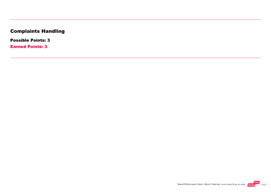## Complaints Handling

Possible Points: 3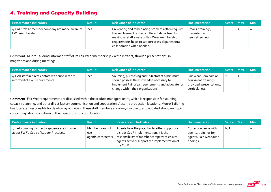## 4. Training and Capacity Building

| Performance indicators                                               | <b>Result</b> | <b>Relevance of Indicator</b>                                                                                                                                                                                                            | <b>Documentation</b>                                     | Score Max | <b>Min</b> |
|----------------------------------------------------------------------|---------------|------------------------------------------------------------------------------------------------------------------------------------------------------------------------------------------------------------------------------------------|----------------------------------------------------------|-----------|------------|
| 4.1 All staff at member company are made aware of<br>FWF membership. | Yes           | Preventing and remediating problems often requires<br>the involvement of many different departments;<br>making all staff aware of Fair Wear membership<br>requirements helps to support cross-departmental<br>collaboration when needed. | Emails, trainings,<br>presentation,<br>newsletters, etc. |           |            |

Comment: Munro Tailoring informed staff of its Fair Wear membership via the intranet, through presentations, in magazines and during meetings.

| Performance indicators                                                              | <b>Result</b> | <b>Relevance of Indicator</b>                                                                                                                                                           | <b>Documentation</b>                                                                         | Score Max |   | <b>Min</b> |
|-------------------------------------------------------------------------------------|---------------|-----------------------------------------------------------------------------------------------------------------------------------------------------------------------------------------|----------------------------------------------------------------------------------------------|-----------|---|------------|
| 4.2 All staff in direct contact with suppliers are<br>informed of FWF requirements. | Yes           | Sourcing, purchasing and CSR staff at a minimum<br>should possess the knowledge necessary to<br>implement Fair Wear requirements and advocate for<br>change within their organisations. | Fair Wear Seminars or<br>equivalent trainings<br>provided; presentations,<br>curricula, etc. |           | ◢ | -1         |

Comment: Fair Wear requirements are discussed within the product managers team, which is responsible for sourcing, capacity planning, and other direct factory communication and cooperation. At some production locations, Munro Tailoring has local staff responsible for day‐to‐day activities. These staff members are always involved, and updated about any topic concerning labour conditions in their specific production location.

| Performance indicators                                                                    | <b>Result</b>                                       | <b>Relevance of Indicator</b>                                                                                                                                                                        | <b>Documentation</b>                                                                 | Score Max | <b>Min</b> |
|-------------------------------------------------------------------------------------------|-----------------------------------------------------|------------------------------------------------------------------------------------------------------------------------------------------------------------------------------------------------------|--------------------------------------------------------------------------------------|-----------|------------|
| 4.3 All sourcing contractors/agents are informed<br>about FWF's Code of Labour Practices. | Member does not<br><b>use</b><br>agents/contractors | Agents have the potential to either support or<br>disrupt CoLP implementation. It is the<br>responsibility of member company to ensure<br>agents actively support the implementation of<br>the CoLP. | Correspondence with<br>agents, trainings for<br>agents, Fair Wear audit<br>findings. | N/A       | $\circ$    |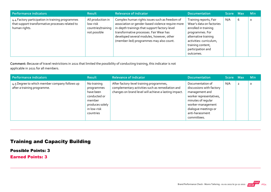| Performance indicators                                                                                                | <b>Result</b>                                                       | <b>Relevance of Indicator</b>                                                                                                                                                                                                                                                           | <b>Documentation</b>                                                                                                                                                                                    | Score Max |   | <b>Min</b> |
|-----------------------------------------------------------------------------------------------------------------------|---------------------------------------------------------------------|-----------------------------------------------------------------------------------------------------------------------------------------------------------------------------------------------------------------------------------------------------------------------------------------|---------------------------------------------------------------------------------------------------------------------------------------------------------------------------------------------------------|-----------|---|------------|
| 4.4 Factory participation in training programmes<br>that support transformative processes related to<br>human rights. | All production in<br>low-risk<br>countries/training<br>not possible | Complex human rights issues such as freedom of<br>association or gender-based violence require more<br>in-depth trainings that support factory-level<br>transformative processes. Fair Wear has<br>developed several modules, however, other<br>(member-led) programmes may also count. | Training reports, Fair<br>Wear's data on factories<br>enrolled in training<br>programmes. For<br>alternative training<br>activities: curriculum,<br>training content,<br>participation and<br>outcomes. | N/A       | 6 | $\circ$    |

Comment: Because of travel restrictions in 2021 that limited the possibility of conducting training, this indicator is not

applicable in 2021 for all members.

| Performance indicators                                                       | <b>Result</b>                                                                                                   | <b>Relevance of Indicator</b>                                                                                                                         | <b>Documentation</b>                                                                                                                                                                           | Score Max |                | Min     |
|------------------------------------------------------------------------------|-----------------------------------------------------------------------------------------------------------------|-------------------------------------------------------------------------------------------------------------------------------------------------------|------------------------------------------------------------------------------------------------------------------------------------------------------------------------------------------------|-----------|----------------|---------|
| 4.5 Degree to which member company follows up<br>after a training programme. | No training<br>programmes<br>have been<br>conducted or<br>member<br>produces solely<br>in low-risk<br>countries | After factory-level training programmes,<br>complementary activities such as remediation and<br>changes on brand level will achieve a lasting impact. | Documentation of<br>discussions with factory<br>management and<br>worker representatives,<br>minutes of regular<br>worker-management<br>dialogue meetings or<br>anti-harassment<br>committees. | N/A       | $\overline{2}$ | $\circ$ |

## Training and Capacity Building

Possible Points: 3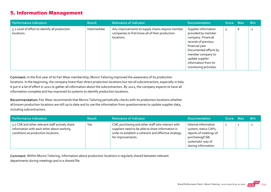#### 5. Information Management

| Performance indicators                                       | <b>Result</b> | <b>Relevance of Indicator</b>                                                                                     | <b>Documentation</b>                                                                                                                                                                                                          | Score Max |   | <b>Min</b> |
|--------------------------------------------------------------|---------------|-------------------------------------------------------------------------------------------------------------------|-------------------------------------------------------------------------------------------------------------------------------------------------------------------------------------------------------------------------------|-----------|---|------------|
| 5.1 Level of effort to identify all production<br>locations. | Intermediate  | Any improvements to supply chains require member<br>companies to first know all of their production<br>locations. | Supplier information<br>provided by member<br>company. Financial<br>records of previous<br>financial year.<br>Documented efforts by<br>member company to<br>update supplier<br>information from its<br>monitoring activities. |           | b | $-2$       |

Comment: In the first year of its Fair Wear membership, Munro Tailoring improved the awareness of its production locations. In the beginning, the company knew their direct production locations but not all subcontractors, especially in Italy. It put in a lot of effort in 2021 to gather all information about the subcontractors. By 2022, the company expects to have all information complete and has improved its systems to identify production locations.

Recommendation: Fair Wear recommends that Munro Tailoring periodically checks with its production locations whether all known production locations are still up to date and to use the information from questionnaires to update supplier data, including subcontractors.

| Performance indicators                                                                                                              | <b>Result</b> | <b>Relevance of Indicator</b>                                                                                                                                                       | <b>Documentation</b>                                                                                                                   | Score Max | <b>Min</b> |
|-------------------------------------------------------------------------------------------------------------------------------------|---------------|-------------------------------------------------------------------------------------------------------------------------------------------------------------------------------------|----------------------------------------------------------------------------------------------------------------------------------------|-----------|------------|
| 5.2 CSR and other relevant staff actively share<br>information with each other about working<br>conditions at production locations. | Yes           | CSR, purchasing and other staff who interact with<br>suppliers need to be able to share information in<br>order to establish a coherent and effective strategy<br>for improvements. | Internal information<br>system; status CAPs,<br>reports of meetings of<br>purchasing/CSR;<br>systematic way of<br>storing information. |           | $-1$       |

Comment: Within Munro Tailoring, information about production locations is regularly shared between relevant departments during meetings and in a shared file.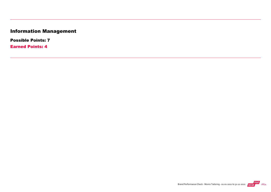## Information Management

Possible Points: 7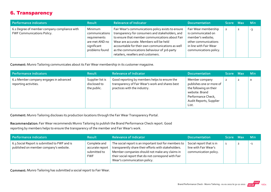## 6. Transparency

| Performance indicators                                                     | <b>Result</b>                                                                                | <b>Relevance of Indicator</b>                                                                                                                                                                                                                                                                                                                   | <b>Documentation</b>                                                                                                                        | Score Max | <b>Min</b> |
|----------------------------------------------------------------------------|----------------------------------------------------------------------------------------------|-------------------------------------------------------------------------------------------------------------------------------------------------------------------------------------------------------------------------------------------------------------------------------------------------------------------------------------------------|---------------------------------------------------------------------------------------------------------------------------------------------|-----------|------------|
| 6.1 Degree of member company compliance with<br>FWF Communications Policy. | Minimum<br>communications<br>requirements<br>are met AND no<br>significant<br>problems found | Fair Wear's communications policy exists to ensure<br>transparency for consumers and stakeholders, and<br>to ensure that member communications about Fair<br>Wear are accurate. Members will be held<br>accountable for their own communications as well<br>as the communications behaviour of 3rd-party<br>retailers, resellers and customers. | Fair Wear membership<br>is communicated on<br>member's website;<br>other communications<br>in line with Fair Wear<br>communications policy. | -2        | -3         |

Comment: Munro Tailoring communicates about its Fair Wear membership in its customer magazine.

| Performance indicators                                          | <b>Result</b>                                   | <b>Relevance of Indicator</b>                                                                                                     | <b>Documentation</b>                                                                                                                             | Score Max      |                | <b>Min</b> |
|-----------------------------------------------------------------|-------------------------------------------------|-----------------------------------------------------------------------------------------------------------------------------------|--------------------------------------------------------------------------------------------------------------------------------------------------|----------------|----------------|------------|
| 6.2 Member company engages in advanced<br>reporting activities. | Supplier list is<br>disclosed to<br>the public. | Good reporting by members helps to ensure the<br>transparency of Fair Wear's work and shares best<br>practices with the industry. | Member company<br>publishes one or more of<br>the following on their<br>website: Brand<br>Performance Check,<br>Audit Reports, Supplier<br>List. | $\overline{2}$ | $\overline{2}$ | $\circ$    |

Comment: Munro Tailoring discloses its production locations through the Fair Wear Transparency Portal.

Recommendation: Fair Wear recommends Munro Tailoring to publish the Brand Performance Check report. Good

reporting by members helps to ensure the transparency of the member and Fair Wear's work.

| Performance indicators                                                                 | <b>Result</b>                                                 | <b>Relevance of Indicator</b>                                                                                                                                                                                                                           | <b>Documentation</b>                                                       | Score Max | <b>Min</b> |
|----------------------------------------------------------------------------------------|---------------------------------------------------------------|---------------------------------------------------------------------------------------------------------------------------------------------------------------------------------------------------------------------------------------------------------|----------------------------------------------------------------------------|-----------|------------|
| 6.3 Social Report is submitted to FWF and is<br>published on member company's website. | Complete and<br>accurate report<br>submitted to<br><b>FWF</b> | The social report is an important tool for members to<br>transparently share their efforts with stakeholders.<br>Member companies should not make any claims in<br>their social report that do not correspond with Fair<br>Wear's communication policy. | Social report that is in<br>line with Fair Wear's<br>communication policy. |           | $-1$       |

Comment: Munro Tailoring has submitted a social report to Fair Wear.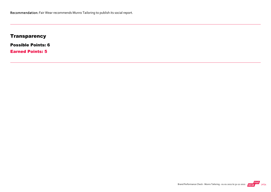## **Transparency**

Possible Points: 6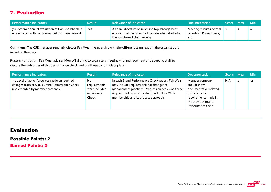## 7. Evaluation

| Performance indicators                                                                               | <b>Result</b> | <b>Relevance of Indicator</b>                                                                                                         | <b>Documentation</b>                                       | Score Max |                | – Min   |
|------------------------------------------------------------------------------------------------------|---------------|---------------------------------------------------------------------------------------------------------------------------------------|------------------------------------------------------------|-----------|----------------|---------|
| 7.1 Systemic annual evaluation of FWF membership<br>is conducted with involvement of top management. | Yes           | An annual evaluation involving top management<br>ensures that Fair Wear policies are integrated into<br>the structure of the company. | Meeting minutes, verbal<br>reporting, Powerpoints,<br>etc. |           | $\overline{2}$ | $\circ$ |

Comment: The CSR manager regularly discuss Fair Wear membership with the different team leads in the organisation, including the CEO.

Recommendation: Fair Wear advises Munro Tailoring to organise a meeting with management and sourcing staff to discuss the outcomes of this performance check and use those to formulate plans.

| Performance indicators                                                                                                           | <b>Result</b>                                               | <b>Relevance of Indicator</b>                                                                                                                                                                                                               | <b>Documentation</b>                                                                                                                          | Score Max |   | <b>Min</b> |
|----------------------------------------------------------------------------------------------------------------------------------|-------------------------------------------------------------|---------------------------------------------------------------------------------------------------------------------------------------------------------------------------------------------------------------------------------------------|-----------------------------------------------------------------------------------------------------------------------------------------------|-----------|---|------------|
| 7.2 Level of action/progress made on required<br>changes from previous Brand Performance Check<br>implemented by member company. | No<br>requirements<br>were included<br>in previous<br>Check | In each Brand Performance Check report, Fair Wear<br>may include requirements for changes to<br>management practices. Progress on achieving these<br>requirements is an important part of Fair Wear<br>membership and its process approach. | Member company<br>should show<br>documentation related<br>to the specific<br>requirements made in<br>the previous Brand<br>Performance Check. | N/A       | 4 | $-2$       |

#### Evaluation

Possible Points: 2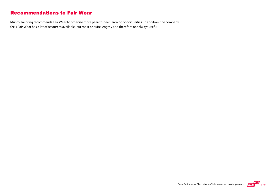#### Recommendations to Fair Wear

Munro Tailoring recommends Fair Wear to organise more peer‐to‐peer learning opportunities. In addition, the company feels Fair Wear has a lot of resources available, but most or quite lengthy and therefore not always useful.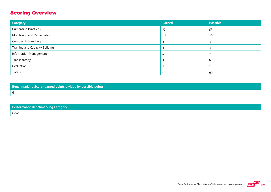## Scoring Overview

| Category                              | Earned | Possible |
|---------------------------------------|--------|----------|
| <b>Purchasing Practices</b>           | 27     | 52       |
| Monitoring and Remediation            | 18     | 26       |
| <b>Complaints Handling</b>            |        |          |
| <b>Training and Capacity Building</b> |        |          |
| <b>Information Management</b>         |        |          |
| Transparency                          |        | b        |
| Evaluation                            |        |          |
| Totals:                               | 62     | 99       |

Benchmarking Score (earned points divided by possible points) 63

| <b>Performance Benchmarking Category</b> |  |
|------------------------------------------|--|
| Good                                     |  |